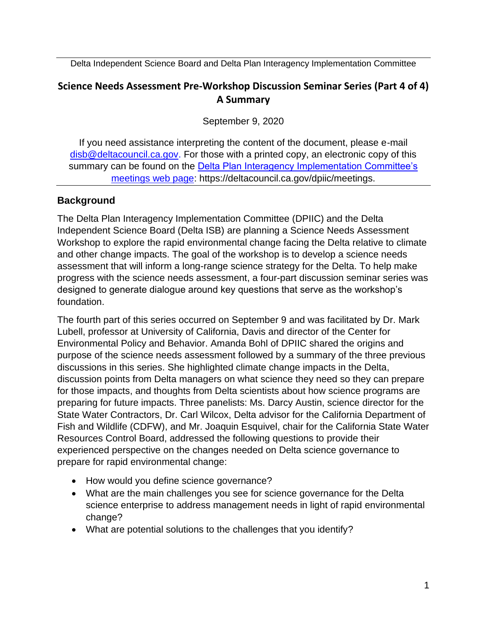Delta Independent Science Board and Delta Plan Interagency Implementation Committee

# **Science Needs Assessment Pre-Workshop Discussion Seminar Series (Part 4 of 4) A Summary**

September 9, 2020

If you need assistance interpreting the content of the document, please e-mail [disb@deltacouncil.ca.gov.](mailto:disb@deltacouncil.ca.gov) For those with a printed copy, an electronic copy of this summary can be found on the [Delta Plan Interagency Implementation Committee's](https://deltacouncil.ca.gov/dpiic/meetings)  [meetings web page:](https://deltacouncil.ca.gov/dpiic/meetings) https://deltacouncil.ca.gov/dpiic/meetings.

## **Background**

The Delta Plan Interagency Implementation Committee (DPIIC) and the Delta Independent Science Board (Delta ISB) are planning a Science Needs Assessment Workshop to explore the rapid environmental change facing the Delta relative to climate and other change impacts. The goal of the workshop is to develop a science needs assessment that will inform a long-range science strategy for the Delta. To help make progress with the science needs assessment, a four-part discussion seminar series was designed to generate dialogue around key questions that serve as the workshop's foundation.

The fourth part of this series occurred on September 9 and was facilitated by Dr. Mark Lubell, professor at University of California, Davis and director of the Center for Environmental Policy and Behavior. Amanda Bohl of DPIIC shared the origins and purpose of the science needs assessment followed by a summary of the three previous discussions in this series. She highlighted climate change impacts in the Delta, discussion points from Delta managers on what science they need so they can prepare for those impacts, and thoughts from Delta scientists about how science programs are preparing for future impacts. Three panelists: Ms. Darcy Austin, science director for the State Water Contractors, Dr. Carl Wilcox, Delta advisor for the California Department of Fish and Wildlife (CDFW), and Mr. Joaquin Esquivel, chair for the California State Water Resources Control Board, addressed the following questions to provide their experienced perspective on the changes needed on Delta science governance to prepare for rapid environmental change:

- How would you define science governance?
- What are the main challenges you see for science governance for the Delta science enterprise to address management needs in light of rapid environmental change?
- What are potential solutions to the challenges that you identify?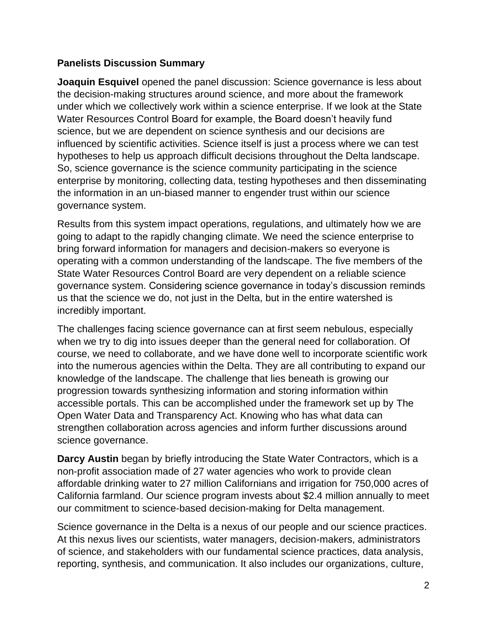### **Panelists Discussion Summary**

**Joaquin Esquivel** opened the panel discussion: Science governance is less about the decision-making structures around science, and more about the framework under which we collectively work within a science enterprise. If we look at the State Water Resources Control Board for example, the Board doesn't heavily fund science, but we are dependent on science synthesis and our decisions are influenced by scientific activities. Science itself is just a process where we can test hypotheses to help us approach difficult decisions throughout the Delta landscape. So, science governance is the science community participating in the science enterprise by monitoring, collecting data, testing hypotheses and then disseminating the information in an un-biased manner to engender trust within our science governance system.

Results from this system impact operations, regulations, and ultimately how we are going to adapt to the rapidly changing climate. We need the science enterprise to bring forward information for managers and decision-makers so everyone is operating with a common understanding of the landscape. The five members of the State Water Resources Control Board are very dependent on a reliable science governance system. Considering science governance in today's discussion reminds us that the science we do, not just in the Delta, but in the entire watershed is incredibly important.

The challenges facing science governance can at first seem nebulous, especially when we try to dig into issues deeper than the general need for collaboration. Of course, we need to collaborate, and we have done well to incorporate scientific work into the numerous agencies within the Delta. They are all contributing to expand our knowledge of the landscape. The challenge that lies beneath is growing our progression towards synthesizing information and storing information within accessible portals. This can be accomplished under the framework set up by The Open Water Data and Transparency Act. Knowing who has what data can strengthen collaboration across agencies and inform further discussions around science governance.

**Darcy Austin** began by briefly introducing the State Water Contractors, which is a non-profit association made of 27 water agencies who work to provide clean affordable drinking water to 27 million Californians and irrigation for 750,000 acres of California farmland. Our science program invests about \$2.4 million annually to meet our commitment to science-based decision-making for Delta management.

Science governance in the Delta is a nexus of our people and our science practices. At this nexus lives our scientists, water managers, decision-makers, administrators of science, and stakeholders with our fundamental science practices, data analysis, reporting, synthesis, and communication. It also includes our organizations, culture,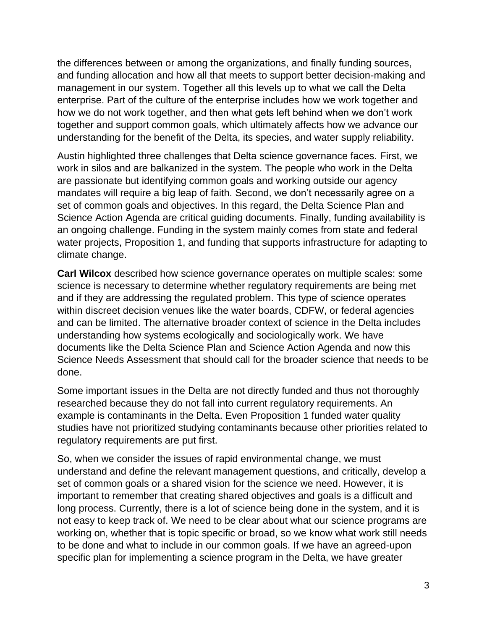the differences between or among the organizations, and finally funding sources, and funding allocation and how all that meets to support better decision-making and management in our system. Together all this levels up to what we call the Delta enterprise. Part of the culture of the enterprise includes how we work together and how we do not work together, and then what gets left behind when we don't work together and support common goals, which ultimately affects how we advance our understanding for the benefit of the Delta, its species, and water supply reliability.

Austin highlighted three challenges that Delta science governance faces. First, we work in silos and are balkanized in the system. The people who work in the Delta are passionate but identifying common goals and working outside our agency mandates will require a big leap of faith. Second, we don't necessarily agree on a set of common goals and objectives. In this regard, the Delta Science Plan and Science Action Agenda are critical guiding documents. Finally, funding availability is an ongoing challenge. Funding in the system mainly comes from state and federal water projects, Proposition 1, and funding that supports infrastructure for adapting to climate change.

**Carl Wilcox** described how science governance operates on multiple scales: some science is necessary to determine whether regulatory requirements are being met and if they are addressing the regulated problem. This type of science operates within discreet decision venues like the water boards, CDFW, or federal agencies and can be limited. The alternative broader context of science in the Delta includes understanding how systems ecologically and sociologically work. We have documents like the Delta Science Plan and Science Action Agenda and now this Science Needs Assessment that should call for the broader science that needs to be done.

Some important issues in the Delta are not directly funded and thus not thoroughly researched because they do not fall into current regulatory requirements. An example is contaminants in the Delta. Even Proposition 1 funded water quality studies have not prioritized studying contaminants because other priorities related to regulatory requirements are put first.

So, when we consider the issues of rapid environmental change, we must understand and define the relevant management questions, and critically, develop a set of common goals or a shared vision for the science we need. However, it is important to remember that creating shared objectives and goals is a difficult and long process. Currently, there is a lot of science being done in the system, and it is not easy to keep track of. We need to be clear about what our science programs are working on, whether that is topic specific or broad, so we know what work still needs to be done and what to include in our common goals. If we have an agreed-upon specific plan for implementing a science program in the Delta, we have greater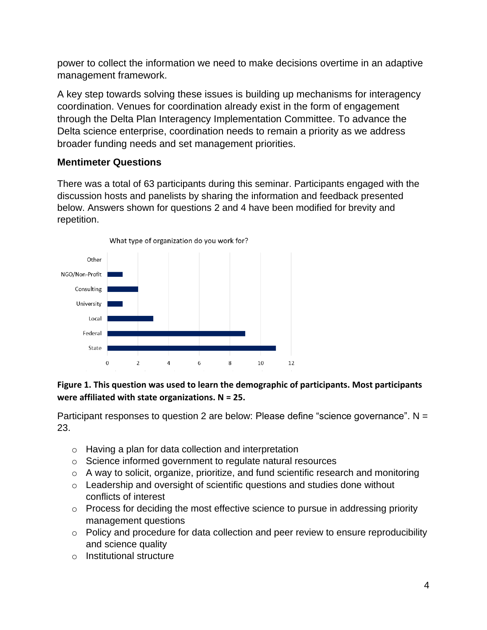power to collect the information we need to make decisions overtime in an adaptive management framework.

A key step towards solving these issues is building up mechanisms for interagency coordination. Venues for coordination already exist in the form of engagement through the Delta Plan Interagency Implementation Committee. To advance the Delta science enterprise, coordination needs to remain a priority as we address broader funding needs and set management priorities.

### **Mentimeter Questions**

There was a total of 63 participants during this seminar. Participants engaged with the discussion hosts and panelists by sharing the information and feedback presented below. Answers shown for questions 2 and 4 have been modified for brevity and repetition.



# 12

### **Figure 1. This question was used to learn the demographic of participants. Most participants were affiliated with state organizations. N = 25.**

Participant responses to question 2 are below: Please define "science governance".  $N =$ 23.

- o Having a plan for data collection and interpretation
- o Science informed government to regulate natural resources
- o A way to solicit, organize, prioritize, and fund scientific research and monitoring
- o Leadership and oversight of scientific questions and studies done without conflicts of interest
- o Process for deciding the most effective science to pursue in addressing priority management questions
- $\circ$  Policy and procedure for data collection and peer review to ensure reproducibility and science quality
- o Institutional structure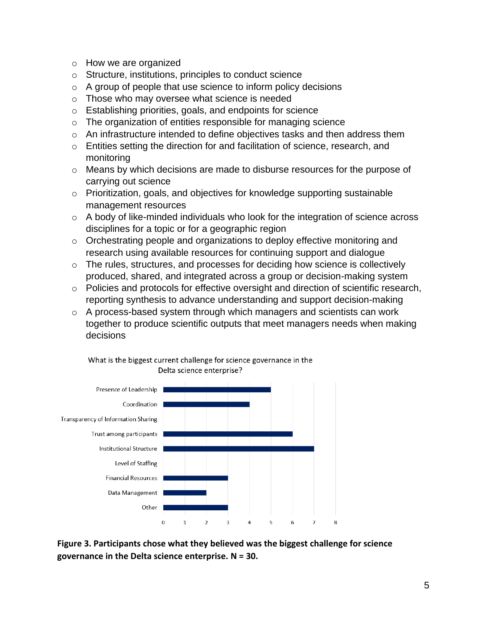- o How we are organized
- o Structure, institutions, principles to conduct science
- $\circ$  A group of people that use science to inform policy decisions
- o Those who may oversee what science is needed
- o Establishing priorities, goals, and endpoints for science
- o The organization of entities responsible for managing science
- o An infrastructure intended to define objectives tasks and then address them
- o Entities setting the direction for and facilitation of science, research, and monitoring
- o Means by which decisions are made to disburse resources for the purpose of carrying out science
- o Prioritization, goals, and objectives for knowledge supporting sustainable management resources
- $\circ$  A body of like-minded individuals who look for the integration of science across disciplines for a topic or for a geographic region
- o Orchestrating people and organizations to deploy effective monitoring and research using available resources for continuing support and dialogue
- o The rules, structures, and processes for deciding how science is collectively produced, shared, and integrated across a group or decision-making system
- o Policies and protocols for effective oversight and direction of scientific research, reporting synthesis to advance understanding and support decision-making
- o A process-based system through which managers and scientists can work together to produce scientific outputs that meet managers needs when making decisions



What is the biggest current challenge for science governance in the Delta science enterprise?

**Figure 3. Participants chose what they believed was the biggest challenge for science governance in the Delta science enterprise. N = 30.**

8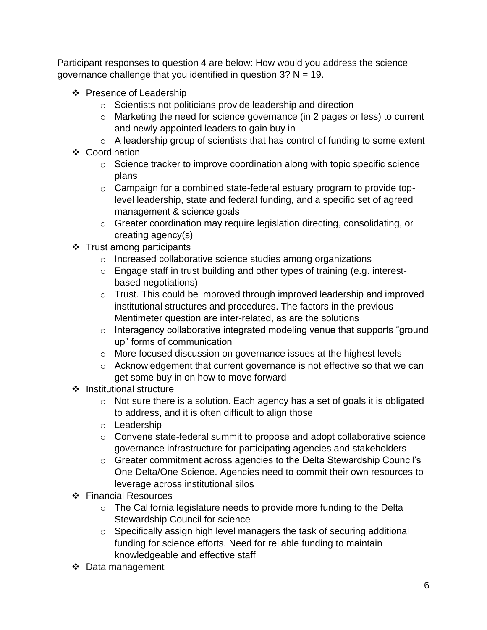Participant responses to question 4 are below: How would you address the science governance challenge that you identified in question  $3$ ? N = 19.

- ❖ Presence of Leadership
	- o Scientists not politicians provide leadership and direction
	- o Marketing the need for science governance (in 2 pages or less) to current and newly appointed leaders to gain buy in
	- o A leadership group of scientists that has control of funding to some extent
- ❖ Coordination
	- o Science tracker to improve coordination along with topic specific science plans
	- o Campaign for a combined state-federal estuary program to provide toplevel leadership, state and federal funding, and a specific set of agreed management & science goals
	- o Greater coordination may require legislation directing, consolidating, or creating agency(s)
- ❖ Trust among participants
	- o Increased collaborative science studies among organizations
	- o Engage staff in trust building and other types of training (e.g. interestbased negotiations)
	- o Trust. This could be improved through improved leadership and improved institutional structures and procedures. The factors in the previous Mentimeter question are inter-related, as are the solutions
	- o Interagency collaborative integrated modeling venue that supports "ground up" forms of communication
	- o More focused discussion on governance issues at the highest levels
	- o Acknowledgement that current governance is not effective so that we can get some buy in on how to move forward
- ❖ Institutional structure
	- o Not sure there is a solution. Each agency has a set of goals it is obligated to address, and it is often difficult to align those
	- o Leadership
	- o Convene state-federal summit to propose and adopt collaborative science governance infrastructure for participating agencies and stakeholders
	- o Greater commitment across agencies to the Delta Stewardship Council's One Delta/One Science. Agencies need to commit their own resources to leverage across institutional silos
- ❖ Financial Resources
	- o The California legislature needs to provide more funding to the Delta Stewardship Council for science
	- o Specifically assign high level managers the task of securing additional funding for science efforts. Need for reliable funding to maintain knowledgeable and effective staff
- ❖ Data management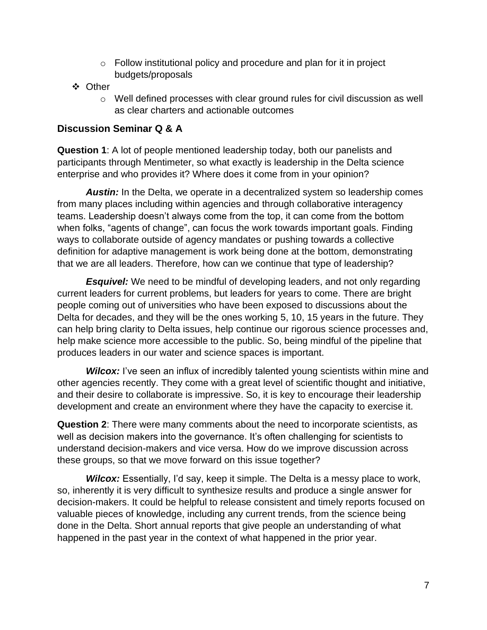- $\circ$  Follow institutional policy and procedure and plan for it in project budgets/proposals
- ❖ Other
	- $\circ$  Well defined processes with clear ground rules for civil discussion as well as clear charters and actionable outcomes

### **Discussion Seminar Q & A**

**Question 1**: A lot of people mentioned leadership today, both our panelists and participants through Mentimeter, so what exactly is leadership in the Delta science enterprise and who provides it? Where does it come from in your opinion?

*Austin:* In the Delta, we operate in a decentralized system so leadership comes from many places including within agencies and through collaborative interagency teams. Leadership doesn't always come from the top, it can come from the bottom when folks, "agents of change", can focus the work towards important goals. Finding ways to collaborate outside of agency mandates or pushing towards a collective definition for adaptive management is work being done at the bottom, demonstrating that we are all leaders. Therefore, how can we continue that type of leadership?

**Esquivel:** We need to be mindful of developing leaders, and not only regarding current leaders for current problems, but leaders for years to come. There are bright people coming out of universities who have been exposed to discussions about the Delta for decades, and they will be the ones working 5, 10, 15 years in the future. They can help bring clarity to Delta issues, help continue our rigorous science processes and, help make science more accessible to the public. So, being mindful of the pipeline that produces leaders in our water and science spaces is important.

**Wilcox:** I've seen an influx of incredibly talented young scientists within mine and other agencies recently. They come with a great level of scientific thought and initiative, and their desire to collaborate is impressive. So, it is key to encourage their leadership development and create an environment where they have the capacity to exercise it.

**Question 2**: There were many comments about the need to incorporate scientists, as well as decision makers into the governance. It's often challenging for scientists to understand decision-makers and vice versa. How do we improve discussion across these groups, so that we move forward on this issue together?

*Wilcox:* Essentially, I'd say, keep it simple. The Delta is a messy place to work, so, inherently it is very difficult to synthesize results and produce a single answer for decision-makers. It could be helpful to release consistent and timely reports focused on valuable pieces of knowledge, including any current trends, from the science being done in the Delta. Short annual reports that give people an understanding of what happened in the past year in the context of what happened in the prior year.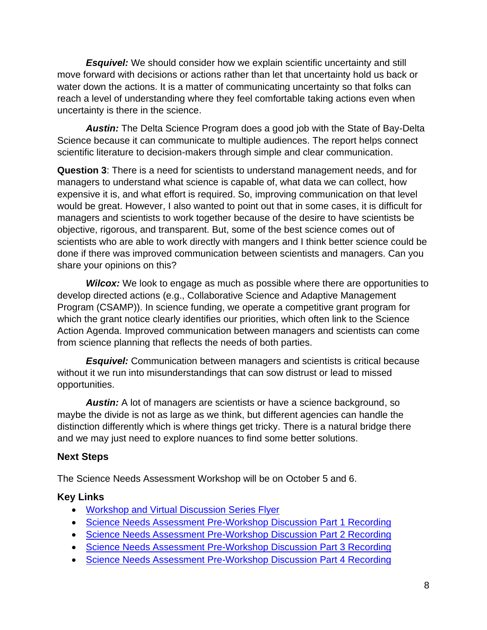*Esquivel:* We should consider how we explain scientific uncertainty and still move forward with decisions or actions rather than let that uncertainty hold us back or water down the actions. It is a matter of communicating uncertainty so that folks can reach a level of understanding where they feel comfortable taking actions even when uncertainty is there in the science.

*Austin:* The Delta Science Program does a good job with the State of Bay-Delta Science because it can communicate to multiple audiences. The report helps connect scientific literature to decision-makers through simple and clear communication.

**Question 3**: There is a need for scientists to understand management needs, and for managers to understand what science is capable of, what data we can collect, how expensive it is, and what effort is required. So, improving communication on that level would be great. However, I also wanted to point out that in some cases, it is difficult for managers and scientists to work together because of the desire to have scientists be objective, rigorous, and transparent. But, some of the best science comes out of scientists who are able to work directly with mangers and I think better science could be done if there was improved communication between scientists and managers. Can you share your opinions on this?

**Wilcox:** We look to engage as much as possible where there are opportunities to develop directed actions (e.g., Collaborative Science and Adaptive Management Program (CSAMP)). In science funding, we operate a competitive grant program for which the grant notice clearly identifies our priorities, which often link to the Science Action Agenda. Improved communication between managers and scientists can come from science planning that reflects the needs of both parties.

*Esquivel:* Communication between managers and scientists is critical because without it we run into misunderstandings that can sow distrust or lead to missed opportunities.

*Austin:* A lot of managers are scientists or have a science background, so maybe the divide is not as large as we think, but different agencies can handle the distinction differently which is where things get tricky. There is a natural bridge there and we may just need to explore nuances to find some better solutions.

## **Next Steps**

The Science Needs Assessment Workshop will be on October 5 and 6.

## **Key Links**

- [Workshop and Virtual Discussion Series Flyer](https://deltacouncil.ca.gov/pdf/dpiic/flyers/2020-04-27-28-science-needs-assessment-flyer.pdf)
- [Science Needs Assessment Pre-Workshop Discussion Part 1 Recording](https://www.youtube.com/watch?v=QzzTI7VqMPY&feature=youtu.be)
- [Science Needs Assessment Pre-Workshop Discussion Part 2 Recording](https://www.youtube.com/watch?v=W_ElJim36rI&t=1330s)
- [Science Needs Assessment Pre-Workshop Discussion Part 3 Recording](https://www.youtube.com/watch?v=fo1vXUoWM1s&t=23s)
- [Science Needs Assessment Pre-Workshop Discussion Part 4 Recording](https://www.youtube.com/watch?v=oR7ygiF1vos&feature=youtu.be)